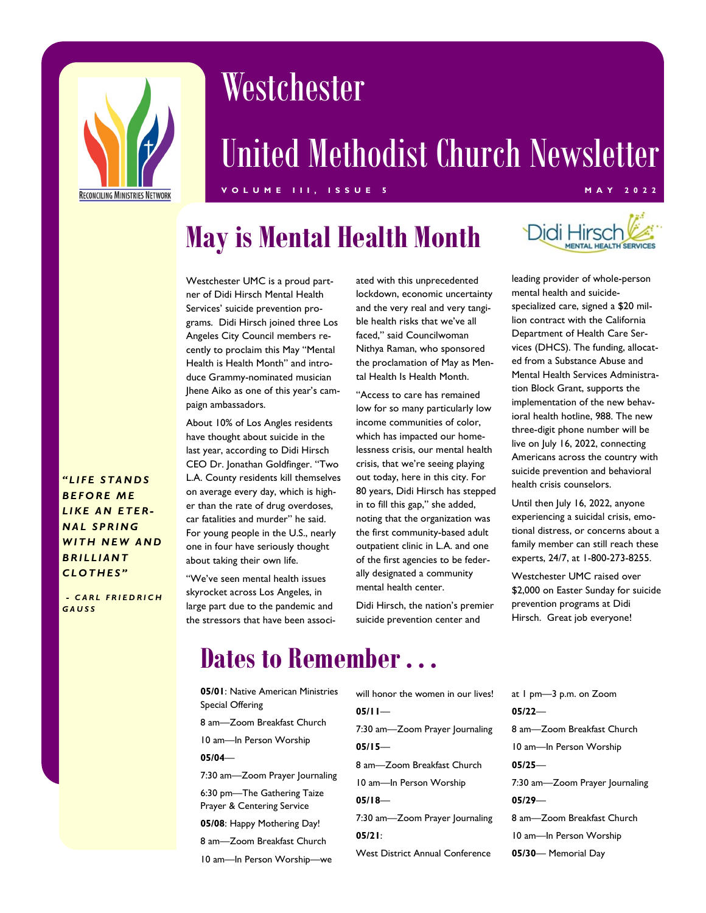

# Westchester

# United Methodist Church Newsletter

#### V O L U M E I I I , I S S U E 5 M A Y 2 0 2 2

## May is Mental Health Month



Westchester UMC is a proud partner of Didi Hirsch Mental Health Services' suicide prevention programs. Didi Hirsch joined three Los Angeles City Council members recently to proclaim this May "Mental Health is Health Month" and introduce Grammy-nominated musician Jhene Aiko as one of this year's campaign ambassadors.

About 10% of Los Angles residents have thought about suicide in the last year, according to Didi Hirsch CEO Dr. Jonathan Goldfinger. "Two L.A. County residents kill themselves on average every day, which is higher than the rate of drug overdoses, car fatalities and murder" he said. For young people in the U.S., nearly one in four have seriously thought about taking their own life.

"We've seen mental health issues skyrocket across Los Angeles, in large part due to the pandemic and the stressors that have been associated with this unprecedented lockdown, economic uncertainty and the very real and very tangible health risks that we've all faced," said Councilwoman Nithya Raman, who sponsored the proclamation of May as Mental Health Is Health Month.

"Access to care has remained low for so many particularly low income communities of color, which has impacted our homelessness crisis, our mental health crisis, that we're seeing playing out today, here in this city. For 80 years, Didi Hirsch has stepped in to fill this gap," she added, noting that the organization was the first community-based adult outpatient clinic in L.A. and one of the first agencies to be federally designated a community mental health center.

Didi Hirsch, the nation's premier suicide prevention center and

leading provider of whole-person mental health and suicidespecialized care, signed a \$20 million contract with the California Department of Health Care Services (DHCS). The funding, allocated from a Substance Abuse and Mental Health Services Administration Block Grant, supports the implementation of the new behavioral health hotline, 988. The new three-digit phone number will be live on July 16, 2022, connecting Americans across the country with suicide prevention and behavioral health crisis counselors.

Until then July 16, 2022, anyone experiencing a suicidal crisis, emotional distress, or concerns about a family member can still reach these experts, 24/7, at 1-800-273-8255.

Westchester UMC raised over \$2,000 on Easter Sunday for suicide prevention programs at Didi Hirsch. Great job everyone!

#### LIKE AN ETER-**NAL SPRING** WITH NEW AND **BRILLIANT** CLOTHES"

"LIFE STANDS **BEFORE ME** 

- CARL FRIEDRICH **GAUSS** 

#### Dates to Remember . . .

- 05/01: Native American Ministries Special Offering 8 am—Zoom Breakfast Church 10 am—In Person Worship 05/04— 7:30 am—Zoom Prayer Journaling 6:30 pm—The Gathering Taize Prayer & Centering Service 05/08: Happy Mothering Day! 8 am—Zoom Breakfast Church 10 am—In Person Worship—we will honor the women in our lives!  $05/11-$ 7:30 am—Zoom Prayer Journaling 05/15— 8 am—Zoom Breakfast Church 10 am—In Person Worship 05/18— 7:30 am—Zoom Prayer Journaling 05/21: West District Annual Conference
- at 1 pm—3 p.m. on Zoom 05/22— 8 am—Zoom Breakfast Church 10 am—In Person Worship 05/25— 7:30 am—Zoom Prayer Journaling 05/29— 8 am—Zoom Breakfast Church 10 am—In Person Worship 05/30— Memorial Day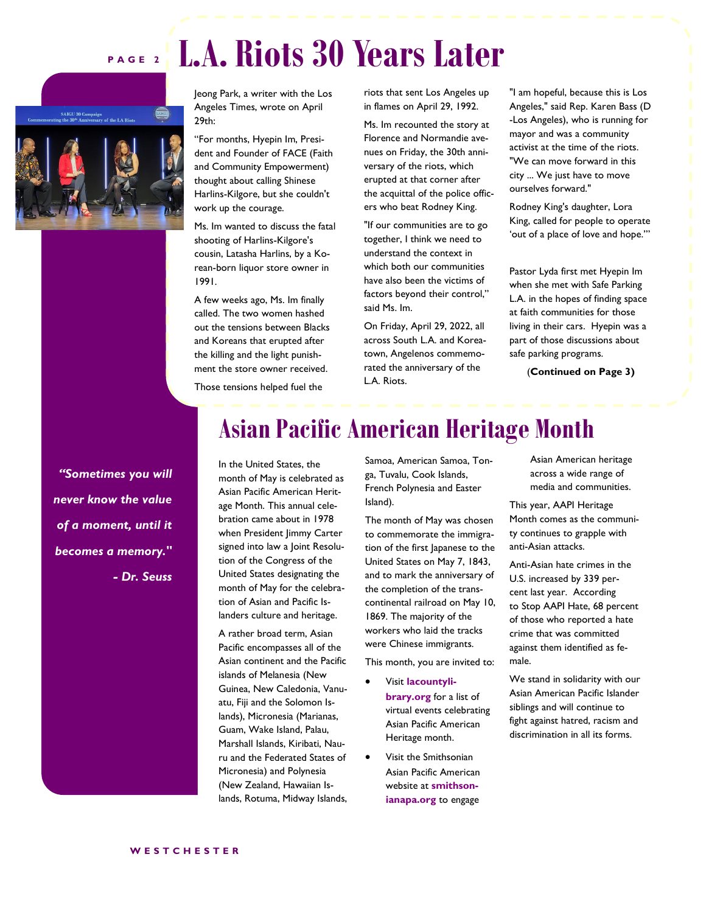#### P A G E 2 L.A. Riots 30 Years Later





Jeong Park, a writer with the Los Angeles Times, wrote on April 29th:

"For months, Hyepin Im, President and Founder of FACE (Faith and Community Empowerment) thought about calling Shinese Harlins-Kilgore, but she couldn't work up the courage.

Ms. Im wanted to discuss the fatal shooting of Harlins-Kilgore's cousin, Latasha Harlins, by a Korean-born liquor store owner in 1991.

A few weeks ago, Ms. Im finally called. The two women hashed out the tensions between Blacks and Koreans that erupted after the killing and the light punishment the store owner received.

Those tensions helped fuel the

riots that sent Los Angeles up in flames on April 29, 1992.

Ms. Im recounted the story at Florence and Normandie avenues on Friday, the 30th anniversary of the riots, which erupted at that corner after the acquittal of the police officers who beat Rodney King.

"If our communities are to go together, I think we need to understand the context in which both our communities have also been the victims of factors beyond their control," said Ms. Im.

On Friday, April 29, 2022, all across South L.A. and Koreatown, Angelenos commemorated the anniversary of the L.A. Riots.

"I am hopeful, because this is Los Angeles," said Rep. Karen Bass (D -Los Angeles), who is running for mayor and was a community activist at the time of the riots. "We can move forward in this city ... We just have to move ourselves forward."

Rodney King's daughter, Lora King, called for people to operate 'out of a place of love and hope.'"

Pastor Lyda first met Hyepin Im when she met with Safe Parking L.A. in the hopes of finding space at faith communities for those living in their cars. Hyepin was a part of those discussions about safe parking programs.

(Continued on Page 3)

"Sometimes you will never know the value of a moment, until it becomes a memory." - Dr. Seuss

### Asian Pacific American Heritage Month

In the United States, the month of May is celebrated as Asian Pacific American Heritage Month. This annual celebration came about in 1978 when President Jimmy Carter signed into law a Joint Resolution of the Congress of the United States designating the month of May for the celebration of Asian and Pacific Islanders culture and heritage.

A rather broad term, Asian Pacific encompasses all of the Asian continent and the Pacific islands of Melanesia (New Guinea, New Caledonia, Vanuatu, Fiji and the Solomon Islands), Micronesia (Marianas, Guam, Wake Island, Palau, Marshall Islands, Kiribati, Nauru and the Federated States of Micronesia) and Polynesia (New Zealand, Hawaiian Islands, Rotuma, Midway Islands, Samoa, American Samoa, Tonga, Tuvalu, Cook Islands, French Polynesia and Easter Island).

The month of May was chosen to commemorate the immigration of the first Japanese to the United States on May 7, 1843, and to mark the anniversary of the completion of the transcontinental railroad on May 10, 1869. The majority of the workers who laid the tracks were Chinese immigrants.

This month, you are invited to:

- · Visit lacountylibrary.org for a list of virtual events celebrating Asian Pacific American Heritage month.
- Visit the Smithsonian Asian Pacific American website at smithsonianapa.org to engage

Asian American heritage across a wide range of media and communities.

This year, AAPI Heritage Month comes as the community continues to grapple with anti-Asian attacks.

Anti-Asian hate crimes in the U.S. increased by 339 percent last year. According to Stop AAPI Hate, 68 percent of those who reported a hate crime that was committed against them identified as female.

We stand in solidarity with our Asian American Pacific Islander siblings and will continue to fight against hatred, racism and discrimination in all its forms.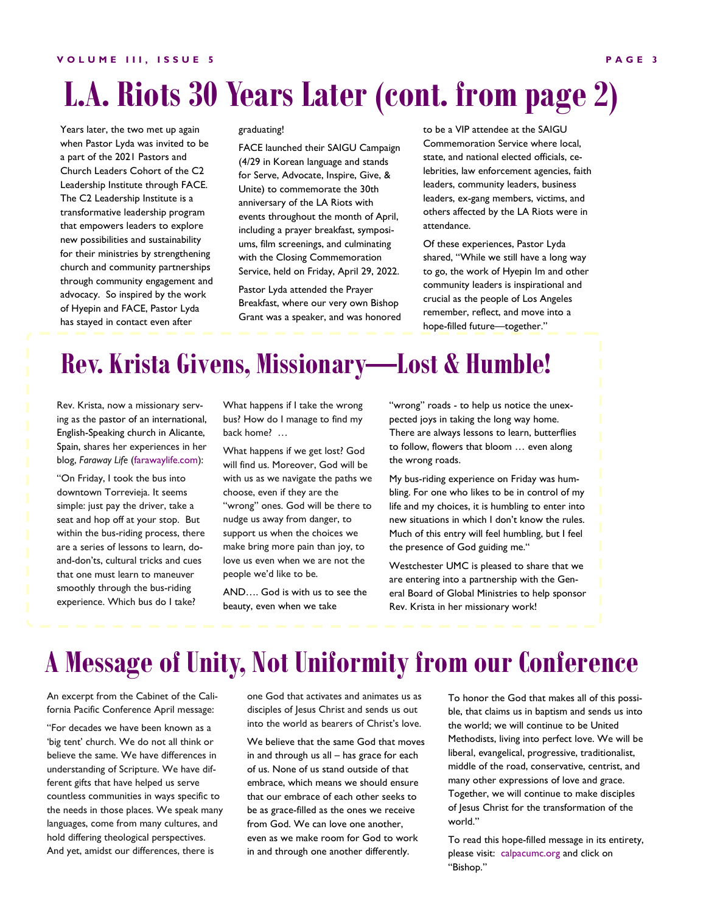# L.A. Riots 30 Years Later (cont. from page 2)

Years later, the two met up again when Pastor Lyda was invited to be a part of the 2021 Pastors and Church Leaders Cohort of the C2 Leadership Institute through FACE. The C2 Leadership Institute is a transformative leadership program that empowers leaders to explore new possibilities and sustainability for their ministries by strengthening church and community partnerships through community engagement and advocacy. So inspired by the work of Hyepin and FACE, Pastor Lyda has stayed in contact even after

#### graduating!

FACE launched their SAIGU Campaign (4/29 in Korean language and stands for Serve, Advocate, Inspire, Give, & Unite) to commemorate the 30th anniversary of the LA Riots with events throughout the month of April, including a prayer breakfast, symposiums, film screenings, and culminating with the Closing Commemoration Service, held on Friday, April 29, 2022.

Pastor Lyda attended the Prayer Breakfast, where our very own Bishop Grant was a speaker, and was honored to be a VIP attendee at the SAIGU Commemoration Service where local, state, and national elected officials, celebrities, law enforcement agencies, faith leaders, community leaders, business leaders, ex-gang members, victims, and others affected by the LA Riots were in attendance.

Of these experiences, Pastor Lyda shared, "While we still have a long way to go, the work of Hyepin Im and other community leaders is inspirational and crucial as the people of Los Angeles remember, reflect, and move into a hope-filled future—together."

### Rev. Krista Givens, Missionary—Lost & Humble!

Rev. Krista, now a missionary serving as the pastor of an international, English-Speaking church in Alicante, Spain, shares her experiences in her blog, Faraway Life (farawaylife.com):

"On Friday, I took the bus into downtown Torrevieja. It seems simple: just pay the driver, take a seat and hop off at your stop. But within the bus-riding process, there are a series of lessons to learn, doand-don'ts, cultural tricks and cues that one must learn to maneuver smoothly through the bus-riding experience. Which bus do I take?

What happens if I take the wrong bus? How do I manage to find my back home? …

What happens if we get lost? God will find us. Moreover, God will be with us as we navigate the paths we choose, even if they are the "wrong" ones. God will be there to nudge us away from danger, to support us when the choices we make bring more pain than joy, to love us even when we are not the people we'd like to be.

AND…. God is with us to see the beauty, even when we take

"wrong" roads - to help us notice the unexpected joys in taking the long way home. There are always lessons to learn, butterflies to follow, flowers that bloom … even along the wrong roads.

My bus-riding experience on Friday was humbling. For one who likes to be in control of my life and my choices, it is humbling to enter into new situations in which I don't know the rules. Much of this entry will feel humbling, but I feel the presence of God guiding me."

Westchester UMC is pleased to share that we are entering into a partnership with the General Board of Global Ministries to help sponsor Rev. Krista in her missionary work!

## A Message of Unity, Not Uniformity from our Conference

An excerpt from the Cabinet of the California Pacific Conference April message:

"For decades we have been known as a 'big tent' church. We do not all think or believe the same. We have differences in understanding of Scripture. We have different gifts that have helped us serve countless communities in ways specific to the needs in those places. We speak many languages, come from many cultures, and hold differing theological perspectives. And yet, amidst our differences, there is

one God that activates and animates us as disciples of Jesus Christ and sends us out into the world as bearers of Christ's love.

We believe that the same God that moves in and through us all – has grace for each of us. None of us stand outside of that embrace, which means we should ensure that our embrace of each other seeks to be as grace-filled as the ones we receive from God. We can love one another, even as we make room for God to work in and through one another differently.

To honor the God that makes all of this possible, that claims us in baptism and sends us into the world; we will continue to be United Methodists, living into perfect love. We will be liberal, evangelical, progressive, traditionalist, middle of the road, conservative, centrist, and many other expressions of love and grace. Together, we will continue to make disciples of Jesus Christ for the transformation of the world."

To read this hope-filled message in its entirety, please visit: calpacumc.org and click on "Bishop."